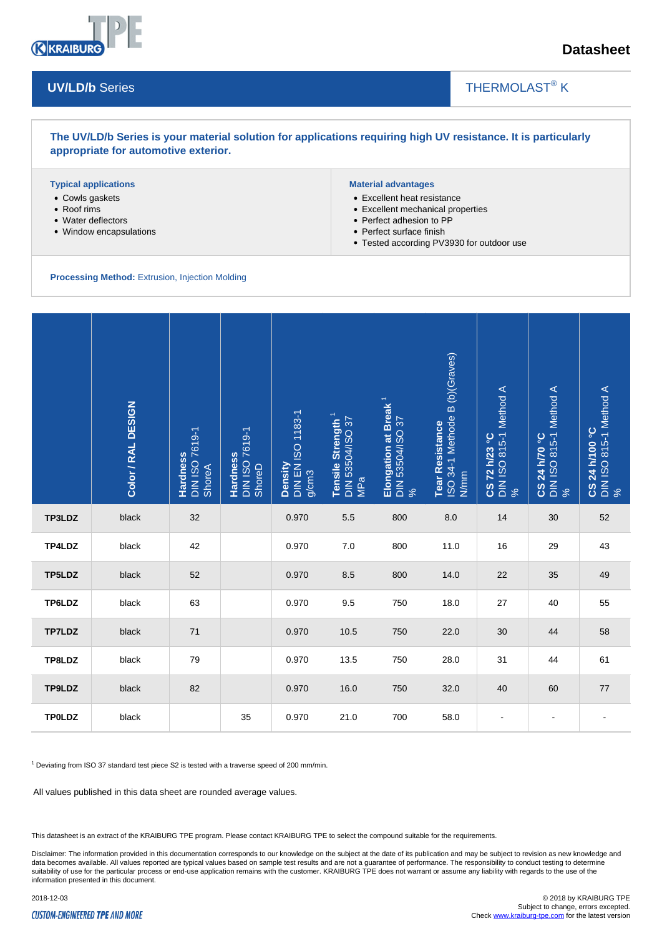

## **Datasheet**

#### **UV/LD/b** Series

# THERMOLAST<sup>®</sup> K

#### **The UV/LD/b Series is your material solution for applications requiring high UV resistance. It is particularly appropriate for automotive exterior.**

#### **Typical applications**

- Cowls gaskets
- Roof rims
- Water deflectors
- Window encapsulations

#### **Material advantages**

- Excellent heat resistance
- Excellent mechanical properties
- Perfect adhesion to PP
- Perfect surface finish
- Tested according PV3930 for outdoor use

 $\overline{\phantom{a}}$ 

**Processing Method:** Extrusion, Injection Molding

|                                                                                                                                                                                 | Color / RAL DESIGN | DIN ISO 7619-1<br>ShoreA<br>Hardness | <b>Hardness</b><br>DIN ISO 7619-1<br>ShoreD | <b>DIN EN ISO 1183-1</b><br>Density<br>g/cm3 | Tensile Strength <sup>1</sup><br>DIN 53504/ISO 37<br>  MPa | Elongation at Break <sup>1</sup><br>DIN 53504/ISO 37<br>% | Tear Resistance<br>ISO 34-1 Methode B (b)(Graves)<br>N/mm | <b>CS 72 h/23 °C</b><br>DIN ISO 815-1 Method A<br>% | DIN ISO 815-1 Method A<br>%<br><b>CS 24 h/70 °C</b> | CS 24 h/100 °C<br>DIN ISO 815-1 Method A<br>% |
|---------------------------------------------------------------------------------------------------------------------------------------------------------------------------------|--------------------|--------------------------------------|---------------------------------------------|----------------------------------------------|------------------------------------------------------------|-----------------------------------------------------------|-----------------------------------------------------------|-----------------------------------------------------|-----------------------------------------------------|-----------------------------------------------|
| TP3LDZ                                                                                                                                                                          | black              | 32                                   |                                             | 0.970                                        | 5.5                                                        | 800                                                       | 8.0                                                       | 14                                                  | 30                                                  | 52                                            |
| TP4LDZ                                                                                                                                                                          | black              | 42                                   |                                             | 0.970                                        | 7.0                                                        | 800                                                       | 11.0                                                      | 16                                                  | 29                                                  | 43                                            |
| TP5LDZ                                                                                                                                                                          | black              | 52                                   |                                             | 0.970                                        | 8.5                                                        | 800                                                       | 14.0                                                      | 22                                                  | 35                                                  | 49                                            |
| TP6LDZ                                                                                                                                                                          | black              | 63                                   |                                             | 0.970                                        | 9.5                                                        | 750                                                       | 18.0                                                      | 27                                                  | 40                                                  | 55                                            |
| TP7LDZ                                                                                                                                                                          | black              | 71                                   |                                             | 0.970                                        | 10.5                                                       | 750                                                       | 22.0                                                      | 30                                                  | 44                                                  | 58                                            |
| TP8LDZ                                                                                                                                                                          | black              | 79                                   |                                             | 0.970                                        | 13.5                                                       | 750                                                       | 28.0                                                      | 31                                                  | 44                                                  | 61                                            |
| TP9LDZ                                                                                                                                                                          | black              | 82                                   |                                             | 0.970                                        | 16.0                                                       | 750                                                       | 32.0                                                      | 40                                                  | 60                                                  | 77                                            |
| <b>TPOLDZ</b>                                                                                                                                                                   | black              |                                      | 35                                          | 0.970                                        | 21.0                                                       | 700                                                       | 58.0                                                      | $\blacksquare$                                      | $\blacksquare$                                      | $\overline{a}$                                |
| <sup>1</sup> Deviating from ISO 37 standard test piece S2 is tested with a traverse speed of 200 mm/min.<br>All values published in this data sheet are rounded average values. |                    |                                      |                                             |                                              |                                                            |                                                           |                                                           |                                                     |                                                     |                                               |

This datasheet is an extract of the KRAIBURG TPE program. Please contact KRAIBURG TPE to select the compound suitable for the requirements.

Disclaimer: The information provided in this documentation corresponds to our knowledge on the subject at the date of its publication and may be subject to revision as new knowledge and data becomes available. All values reported are typical values based on sample test results and are not a guarantee of performance. The responsibility to conduct testing to determine suitability of use for the particular process or end-use application remains with the customer. KRAIBURG TPE does not warrant or assume any liability with regards to the use of the information presented in this document.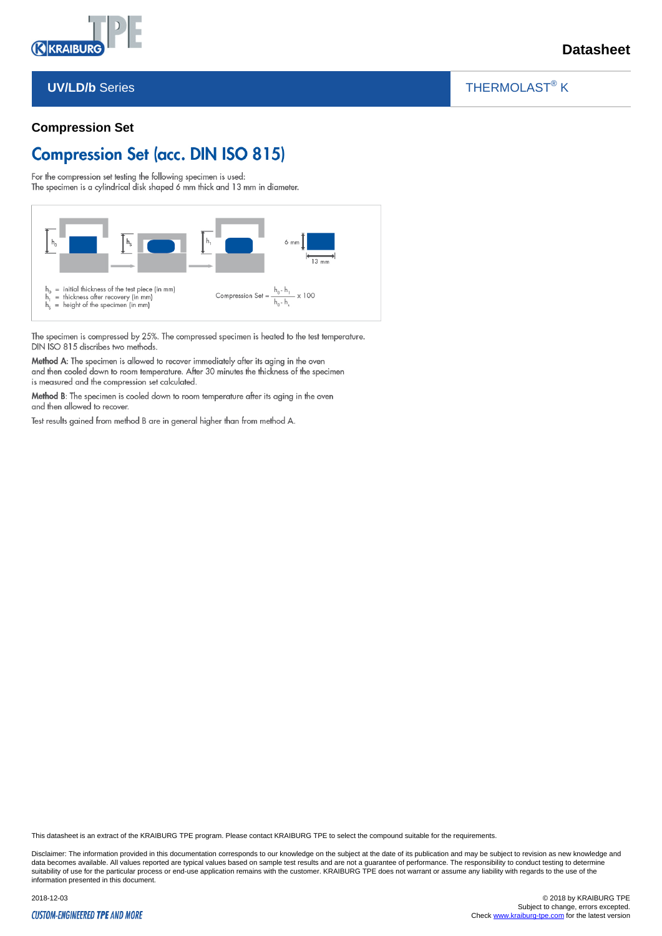

#### **UV/LD/b** Series

### THERMOLAST<sup>®</sup> K

 $\overline{\phantom{a}}$ 

#### **Compression Set**

# **Compression Set (acc. DIN ISO 815)**

For the compression set testing the following specimen is used:

The specimen is a cylindrical disk shaped 6 mm thick and 13 mm in diameter.



The specimen is compressed by 25%. The compressed specimen is heated to the test temperature. DIN ISO 815 discribes two methods.

Method A: The specimen is allowed to recover immediately after its aging in the oven and then cooled down to room temperature. After 30 minutes the thickness of the specimen is measured and the compression set calculated.

Method B: The specimen is cooled down to room temperature after its aging in the oven and then allowed to recover.

Test results gained from method B are in general higher than from method A.

This datasheet is an extract of the KRAIBURG TPE program. Please contact KRAIBURG TPE to select the compound suitable for the requirements.

Disclaimer: The information provided in this documentation corresponds to our knowledge on the subject at the date of its publication and may be subject to revision as new knowledge and data becomes available. All values reported are typical values based on sample test results and are not a guarantee of performance. The responsibility to conduct testing to determine suitability of use for the particular process or end-use application remains with the customer. KRAIBURG TPE does not warrant or assume any liability with regards to the use of the such that is a state in the customer. KRA information presented in this document.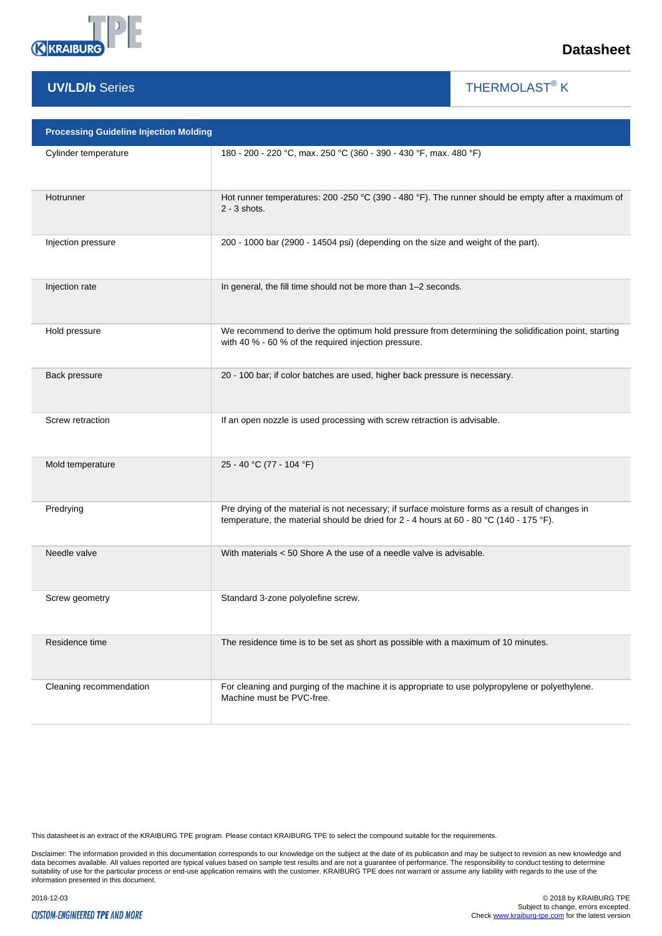

### **UV/LD/b** Series

THERMOLAST<sup>®</sup> K

 $\overline{\phantom{a}}$ 

| <b>Processing Guideline Injection Molding</b> |                                                                                                                                                                                             |  |  |  |  |
|-----------------------------------------------|---------------------------------------------------------------------------------------------------------------------------------------------------------------------------------------------|--|--|--|--|
| Cylinder temperature                          | 180 - 200 - 220 °C, max. 250 °C (360 - 390 - 430 °F, max. 480 °F)                                                                                                                           |  |  |  |  |
| Hotrunner                                     | Hot runner temperatures: 200 -250 °C (390 - 480 °F). The runner should be empty after a maximum of<br>$2 - 3$ shots.                                                                        |  |  |  |  |
| Injection pressure                            | 200 - 1000 bar (2900 - 14504 psi) (depending on the size and weight of the part).                                                                                                           |  |  |  |  |
| Injection rate                                | In general, the fill time should not be more than 1-2 seconds.                                                                                                                              |  |  |  |  |
| Hold pressure                                 | We recommend to derive the optimum hold pressure from determining the solidification point, starting<br>with 40 % - 60 % of the required injection pressure.                                |  |  |  |  |
| Back pressure                                 | 20 - 100 bar; if color batches are used, higher back pressure is necessary.                                                                                                                 |  |  |  |  |
| Screw retraction                              | If an open nozzle is used processing with screw retraction is advisable.                                                                                                                    |  |  |  |  |
| Mold temperature                              | 25 - 40 °C (77 - 104 °F)                                                                                                                                                                    |  |  |  |  |
| Predrying                                     | Pre drying of the material is not necessary; if surface moisture forms as a result of changes in<br>temperature, the material should be dried for 2 - 4 hours at 60 - 80 °C (140 - 175 °F). |  |  |  |  |
| Needle valve                                  | With materials $<$ 50 Shore A the use of a needle valve is advisable.                                                                                                                       |  |  |  |  |
| Screw geometry                                | Standard 3-zone polyolefine screw.                                                                                                                                                          |  |  |  |  |
| Residence time                                | The residence time is to be set as short as possible with a maximum of 10 minutes.                                                                                                          |  |  |  |  |
| Cleaning recommendation                       | For cleaning and purging of the machine it is appropriate to use polypropylene or polyethylene.<br>Machine must be PVC-free.                                                                |  |  |  |  |

This datasheet is an extract of the KRAIBURG TPE program. Please contact KRAIBURG TPE to select the compound suitable for the requirements.

Disclaimer: The information provided in this documentation corresponds to our knowledge on the subject at the date of its publication and may be subject to revision as new knowledge and<br>data becomes available. All values r